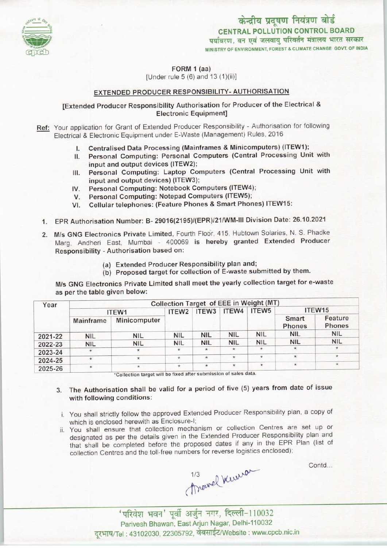

# केन्द्रीय प्रदूषण नियंत्रण बोर्ड CENTRAL POLLUTION CONTROL BOARD<br>पर्यावरण, वन एवं जलवाय परिवर्तन मंत्रालय भारत सरकार

MINISTRY OF ENVIRONMENT, FOREST & CLIMATE CHANGE GOVT. OF INDIA

FORM 1 (aa)

[Under rule  $5(6)$  and  $13(1)(ii)$ ]

#### EXTENDED PRODUCER RESPONSIBILITY-AUTHORISATION

### [Extended Producer Responsibility Authorisation for Producer of the Electrical & Electronic Equipment]

Ref: Your application for Grant of Extended Producer Responsibility - Authorisation for following Electrical & Electronic Equipment under E-Waste (Management) Rules, 2016

- I. Centralised Data Processing (Mainframes & Minicomputers) (ITEW1);<br>II. Personal Computing: Personal Computers (Central Processing Uni
- Personal Computing: Personal Computers (Central Processing Unit with input and output devices (ITEW2);
- Personal Computing: Laptop Com III. Personal Computing: Laptop Computers (Central Processing Unit with input and output devices) (ITEW3);
- IV. Personal Computing: Notebook Computers (ITEW4);
- V. Personal Computing: Notepad Computers(ITEW5);
- VI. VI Cellulartelephones: (Feature Phones & Smart Phones) ITEW15:
- 1.EPR Authorisation Number: B- 29016(2195)/(EPR)/21/WM-lll Division Date: 26.10.2021
- 2. M/s GNG Electronics Private Limited, Fourth Floor, 415, Hubtown Solaries, N. S. Phadke Marg, Andheri East, Mumbai - 400069 is hereby granted Extended Producer Responsibility - Authorisation based on:
	- (a) Extended Producer Responsibility plan and;
	- (b) Proposed target for collection of E-waste submitted by them.

M/s GNG Electronics Private Limited shall meet the yearly collection target for e-waste as per the table given below:

| Year    | Collection Target of EEE in Weight (MT) |                                                                             |                   |                   |            |                   |                 |                   |
|---------|-----------------------------------------|-----------------------------------------------------------------------------|-------------------|-------------------|------------|-------------------|-----------------|-------------------|
|         | ITEW1                                   |                                                                             | ITEW <sub>2</sub> | ITEW <sub>3</sub> | ITEW4      | ITEW <sub>5</sub> | ITEW15          |                   |
|         | <b>Mainframe</b>                        | Minicomputer                                                                |                   |                   |            |                   | Smart<br>Phones | Feature<br>Phones |
| 2021-22 | <b>NIL</b>                              | <b>NIL</b>                                                                  | <b>NIL</b>        | <b>NIL</b>        | <b>NIL</b> | <b>NIL</b>        | <b>NIL</b>      | <b>NIL</b>        |
| 2022-23 | <b>NIL</b>                              | <b>NIL</b>                                                                  | <b>NIL</b>        | <b>NIL</b>        | <b>NIL</b> | <b>NIL</b>        | <b>NIL</b>      | <b>NIL</b>        |
| 2023-24 |                                         | $\star$                                                                     | $\star$           | $\star$           | $\star$    | $\star$           | $\star$         | $\star$           |
| 2024-25 | $\star$                                 | $\star$                                                                     | $\star$           | $\star$           | $\star$    | $\star$           | $\star$         | $\star$           |
| 2025-26 | $\star$                                 | $\star$<br>*Collection target will be fixed after submission of sales data. | $\star$           | $\star$           | $\star$    | $\star$           | $\star$         | $*$               |

'Collection target will

# 3. The Authorisation shall be valid for a period of five (5) years from date of issue with following conditions:

- i. You shall strictly follow the approved Extended Producer Responsibility plan, a copy of which is enclosed herewith as Enclosure-I;
- ii. You shall ensure that collection mechanism or collection Centres are set up or designated as per the details given in the Extended Producer Responsibility plan and that shall be completed before the proposed dates if any in the EPR Plan (list of collection Centres and the toll-free numbers for reverse logistics enclosed);

Contd...

Travel Kurra

'परिवेश भवन' पूर्वी अर्जुन नगर, दिल्ली-110032 Parivesh Bhawan, East Arjun Nagar, Delhi-110032 दूरभाष/Tel : 43102030, 22305792, वेबसाईट/Website : www.cpcb.nic.in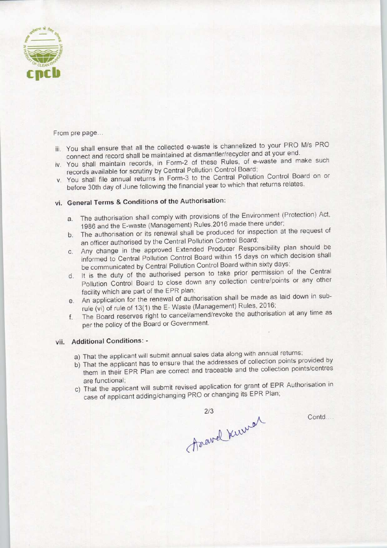

#### From pre page...

- iii. You shall ensure that all the collected e-waste is channelized to your PRO M/s PRO connect and record shall be maintained at dismantler/recycler and at your end.
- iv. You shall maintain records, in Form-2 of these Rules, of e-waste and make such records available for scrutiny by Central Pollution Control Board;
- v. You shall file annual returns in Form-3 to the Central Pollution Control Board on or before 30th day of June following the financial year to which that returns relates.

# vi. General Terms & Conditions of the Authorisation:

- a.The authorisation shall comply with provisions of the Environment (Protection) Act, 1986 and the E-waste (Management) Rules, 2016 made there under;
- b. The authorisation or its renewal shall be produced for inspection at the request of an officer authorised by the Central Pollution Control Board;
- c.Any change in the approved Extended Producer Responsibility plan should be informed to Central Pollution Control Board within 15 days on which decision shall be communicated by Central Pollution Control Board within sixty days;
- d. It is the duty of the authorised person to take prior permission of the Central Pollution Control Board to close down any collection centre/points or any other facility which are part of the EPR plan;
- e.An application for the renewal of authorisation shall be made aslaid down in subrule (vi) of rule of 13(1) the E-Waste (Management) Rules, 2016;
- f.The Board reserves right to cancel/amend/revoke the authorisation at any time as per the policy of the Board or Government.

## vii. Additional Conditions: -

- a) That the applicant will submit annual sales data along with annual returns;
- b) That the applicant has to ensure that the addresses of collection points provided by them in their EPR Plan are correct and traceable and the collection points/centres are functional;
- c) That the applicant will submit revised application for grant of EPR Authorisation in case of applicant adding/changing PRO or changing its EPR Plan;

2/3<br>Asavel Kurral

Contd....